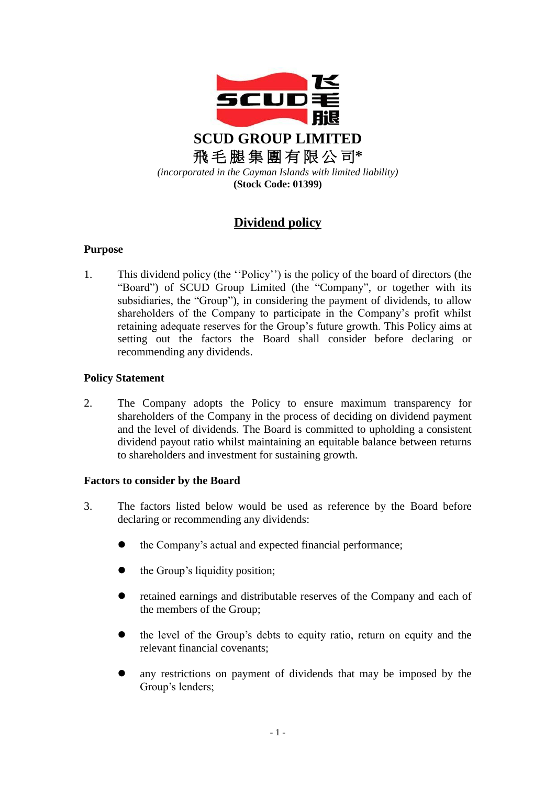

# **Dividend policy**

## **Purpose**

1. This dividend policy (the ''Policy'') is the policy of the board of directors (the "Board") of SCUD Group Limited (the "Company", or together with its subsidiaries, the "Group"), in considering the payment of dividends, to allow shareholders of the Company to participate in the Company's profit whilst retaining adequate reserves for the Group's future growth. This Policy aims at setting out the factors the Board shall consider before declaring or recommending any dividends.

## **Policy Statement**

2. The Company adopts the Policy to ensure maximum transparency for shareholders of the Company in the process of deciding on dividend payment and the level of dividends. The Board is committed to upholding a consistent dividend payout ratio whilst maintaining an equitable balance between returns to shareholders and investment for sustaining growth.

## **Factors to consider by the Board**

- 3. The factors listed below would be used as reference by the Board before declaring or recommending any dividends:
	- the Company's actual and expected financial performance;
	- the Group's liquidity position;
	- retained earnings and distributable reserves of the Company and each of the members of the Group;
	- the level of the Group's debts to equity ratio, return on equity and the relevant financial covenants;
	- any restrictions on payment of dividends that may be imposed by the Group's lenders;